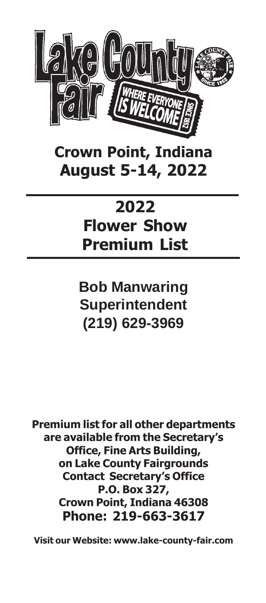

**Crown Point, Indiana August 5-14, 2022**

## **2022 Flower Show Premium List**

**Bob Manwaring Superintendent (219) 629-3969**

**Premium list for all other departments are available from the Secretary's Office, Fine Arts Building, on Lake County Fairgrounds Contact Secretary's Office P.O. Box 327, Crown Point, Indiana 46308 Phone: 219-663-3617**

**Visit our Website: www.lake-county-fair.com**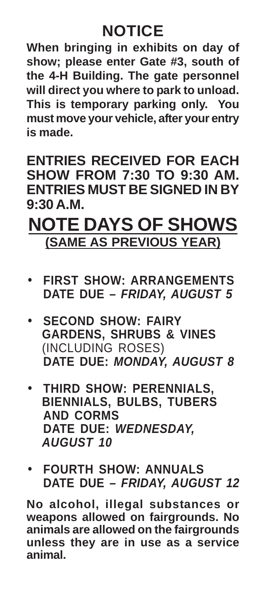## **NOTICE**

**When bringing in exhibits on day of show; please enter Gate #3, south of the 4-H Building. The gate personnel will direct you where to park to unload. This is temporary parking only. You must move your vehicle, after your entry is made.**

**ENTRIES RECEIVED FOR EACH SHOW FROM 7:30 TO 9:30 AM. ENTRIES MUST BE SIGNED IN BY 9:30 A.M.**

## **NOTE DAYS OF SHOWS (SAME AS PREVIOUS YEAR)**

- **FIRST SHOW: ARRANGEMENTS DATE DUE – FRIDAY, AUGUST 5**
- **SECOND SHOW: FAIRY GARDENS, SHRUBS & VINES** (INCLUDING ROSES) **DATE DUE: MONDAY, AUGUST 8**
- **THIRD SHOW: PERENNIALS, BIENNIALS, BULBS, TUBERS AND CORMS DATE DUE: WEDNESDAY, AUGUST 10**
- **FOURTH SHOW: ANNUALS DATE DUE – FRIDAY, AUGUST 12**

**No alcohol, illegal substances or weapons allowed on fairgrounds. No animals are allowed on the fairgrounds unless they are in use as a service animal.**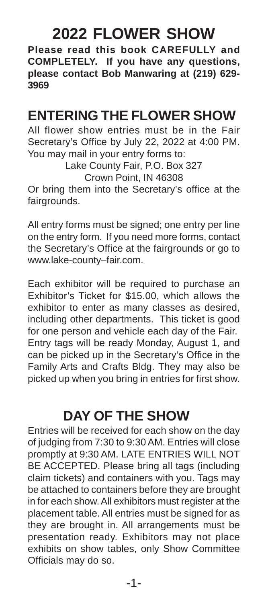## **2022 FLOWER SHOW**

**Please read this book CAREFULLY and COMPLETELY. If you have any questions, please contact Bob Manwaring at (219) 629- 3969**

## **ENTERING THE FLOWER SHOW**

All flower show entries must be in the Fair Secretary's Office by July 22, 2022 at 4:00 PM. You may mail in your entry forms to:

> Lake County Fair, P.O. Box 327 Crown Point, IN 46308

Or bring them into the Secretary's office at the fairgrounds.

All entry forms must be signed; one entry per line on the entry form. If you need more forms, contact the Secretary's Office at the fairgrounds or go to www.lake-county–fair.com.

Each exhibitor will be required to purchase an Exhibitor's Ticket for \$15.00, which allows the exhibitor to enter as many classes as desired, including other departments. This ticket is good for one person and vehicle each day of the Fair. Entry tags will be ready Monday, August 1, and can be picked up in the Secretary's Office in the Family Arts and Crafts Bldg. They may also be picked up when you bring in entries for first show.

## **DAY OF THE SHOW**

Entries will be received for each show on the day of judging from 7:30 to 9:30 AM. Entries will close promptly at 9:30 AM. LATE ENTRIES WILL NOT BE ACCEPTED. Please bring all tags (including claim tickets) and containers with you. Tags may be attached to containers before they are brought in for each show. All exhibitors must register at the placement table. All entries must be signed for as they are brought in. All arrangements must be presentation ready. Exhibitors may not place exhibits on show tables, only Show Committee Officials may do so.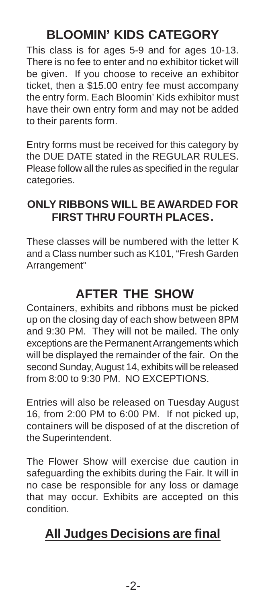## **BLOOMIN' KIDS CATEGORY**

This class is for ages 5-9 and for ages 10-13. There is no fee to enter and no exhibitor ticket will be given. If you choose to receive an exhibitor ticket, then a \$15.00 entry fee must accompany the entry form. Each Bloomin' Kids exhibitor must have their own entry form and may not be added to their parents form.

Entry forms must be received for this category by the DUE DATE stated in the REGULAR RULES. Please follow all the rules as specified in the regular categories.

#### **ONLY RIBBONS WILL BE AWARDED FOR FIRST THRU FOURTH PLACES.**

These classes will be numbered with the letter K and a Class number such as K101, "Fresh Garden Arrangement"

## **AFTER THE SHOW**

Containers, exhibits and ribbons must be picked up on the closing day of each show between 8PM and 9:30 PM. They will not be mailed. The only exceptions are the Permanent Arrangements which will be displayed the remainder of the fair. On the second Sunday, August 14, exhibits will be released from 8:00 to 9:30 PM. NO EXCEPTIONS.

Entries will also be released on Tuesday August 16, from 2:00 PM to 6:00 PM. If not picked up, containers will be disposed of at the discretion of the Superintendent.

The Flower Show will exercise due caution in safeguarding the exhibits during the Fair. It will in no case be responsible for any loss or damage that may occur. Exhibits are accepted on this condition.

## **All Judges Decisions are final**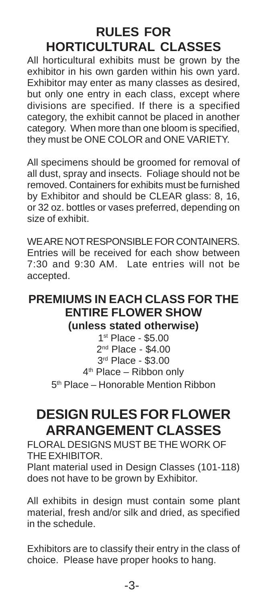## **RULES FOR HORTICULTURAL CLASSES**

All horticultural exhibits must be grown by the exhibitor in his own garden within his own yard. Exhibitor may enter as many classes as desired, but only one entry in each class, except where divisions are specified. If there is a specified category, the exhibit cannot be placed in another category. When more than one bloom is specified, they must be ONE COLOR and ONE VARIETY.

All specimens should be groomed for removal of all dust, spray and insects. Foliage should not be removed. Containers for exhibits must be furnished by Exhibitor and should be CLEAR glass: 8, 16, or 32 oz. bottles or vases preferred, depending on size of exhibit.

WE ARE NOT RESPONSIBLE FOR CONTAINERS. Entries will be received for each show between 7:30 and 9:30 AM. Late entries will not be accepted.

#### **PREMIUMS IN EACH CLASS FOR THE ENTIRE FLOWER SHOW (unless stated otherwise)**

 st Place - \$5.00 nd Place - \$4.00 rd Place - \$3.00 th Place – Ribbon only th Place – Honorable Mention Ribbon

## **DESIGN RULES FOR FLOWER ARRANGEMENT CLASSES**

FLORAL DESIGNS MUST BE THE WORK OF THE EXHIBITOR.

Plant material used in Design Classes (101-118) does not have to be grown by Exhibitor.

All exhibits in design must contain some plant material, fresh and/or silk and dried, as specified in the schedule.

Exhibitors are to classify their entry in the class of choice. Please have proper hooks to hang.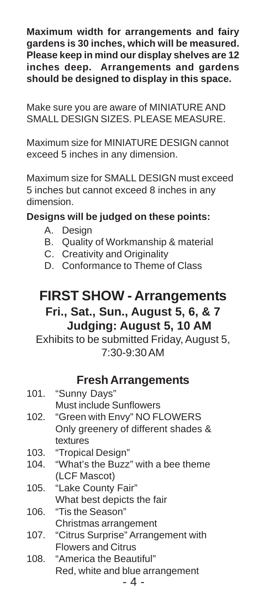**Maximum width for arrangements and fairy gardens is 30 inches, which will be measured. Please keep in mind our display shelves are 12 inches deep. Arrangements and gardens should be designed to display in this space.**

Make sure you are aware of MINIATURE AND SMALL DESIGN SIZES. PLEASE MEASURE.

Maximum size for MINIATURE DESIGN cannot exceed 5 inches in any dimension.

Maximum size for SMALL DESIGN must exceed 5 inches but cannot exceed 8 inches in any dimension.

#### **Designs will be judged on these points:**

- A. Design
- B. Quality of Workmanship & material
- C. Creativity and Originality
- D. Conformance to Theme of Class

### **FIRST SHOW - Arrangements Fri., Sat., Sun., August 5, 6, & 7 Judging: August 5, 10 AM**

Exhibits to be submitted Friday, August 5, 7:30-9:30 AM

#### **Fresh Arrangements**

| 101. | "Sunny Days"                            |
|------|-----------------------------------------|
|      | Must include Sunflowers                 |
| 102. | "Green with Envy" NO FLOWERS            |
|      | Only greenery of different shades &     |
|      | textures                                |
|      | 103. "Tropical Design"                  |
| 104. | "What's the Buzz" with a bee theme      |
|      | (LCF Mascot)                            |
| 105. | "Lake County Fair"                      |
|      | What best depicts the fair              |
| 106. | "Tis the Season"                        |
|      | Christmas arrangement                   |
|      | 107. "Citrus Surprise" Arrangement with |
|      | <b>Flowers and Citrus</b>               |
| 108. | "America the Beautiful"                 |
|      |                                         |

Red, white and blue arrangement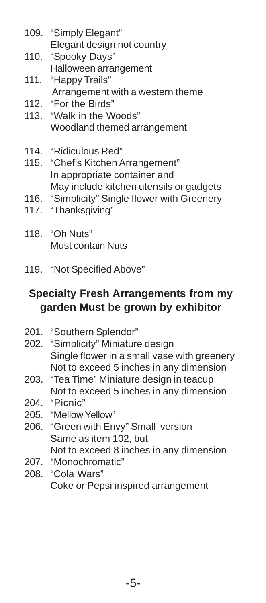- 109. "Simply Elegant" Elegant design not country
- 110. "Spooky Days" Halloween arrangement
- 111. "Happy Trails" Arrangement with a western theme
- 112. "For the Birds"
- 113. "Walk in the Woods" Woodland themed arrangement
- 114. "Ridiculous Red"
- 115. "Chef's Kitchen Arrangement" In appropriate container and May include kitchen utensils or gadgets
- 116. "Simplicity" Single flower with Greenery
- 117. "Thanksgiving"
- 118. "Oh Nuts" Must contain Nuts
- 119. "Not Specified Above"

#### **Specialty Fresh Arrangements from my garden Must be grown by exhibitor**

- 201. "Southern Splendor"
- 202. "Simplicity" Miniature design Single flower in a small vase with greenery Not to exceed 5 inches in any dimension
- 203. "Tea Time" Miniature design in teacup Not to exceed 5 inches in any dimension
- 204. "Picnic"
- 205. "Mellow Yellow"
- 206. "Green with Envy" Small version Same as item 102, but Not to exceed 8 inches in any dimension
- 207. "Monochromatic"
- 208. "Cola Wars" Coke or Pepsi inspired arrangement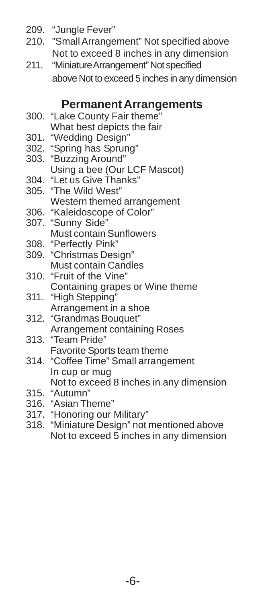- 209. "Jungle Fever"
- 210. "Small Arrangement" Not specified above Not to exceed 8 inches in any dimension
- 211. "Miniature Arrangement" Not specified above Not to exceed 5 inches in any dimension

#### **Permanent Arrangements**

- 300. "Lake County Fair theme" What best depicts the fair
- 301. "Wedding Design"
- 302. "Spring has Sprung"
- 303. "Buzzing Around" Using a bee (Our LCF Mascot)
- 304. "Let us Give Thanks"
- 305. "The Wild West" Western themed arrangement
- 306. "Kaleidoscope of Color" 307. "Sunny Side" Must contain Sunflowers
- 308. "Perfectly Pink"
- 309. "Christmas Design" Must contain Candles
- 310. "Fruit of the Vine" Containing grapes or Wine theme
- 311. "High Stepping" Arrangement in a shoe
- 312. "Grandmas Bouquet" Arrangement containing Roses
- 313. "Team Pride" Favorite Sports team theme
- 314. "Coffee Time" Small arrangement In cup or mug Not to exceed 8 inches in any dimension
- 315. "Autumn"
- 316. "Asian Theme"
- 317. "Honoring our Military"
- 318. "Miniature Design" not mentioned above Not to exceed 5 inches in any dimension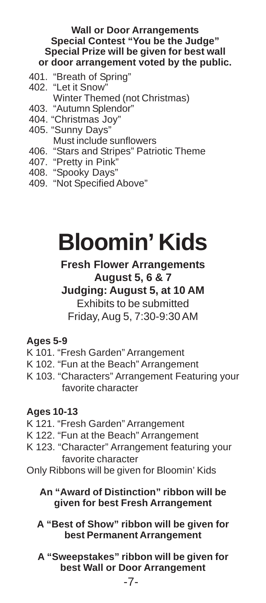#### **Wall or Door Arrangements Special Contest "You be the Judge" Special Prize will be given for best wall or door arrangement voted by the public.**

- 401. "Breath of Spring"
- 402. "Let it Snow" Winter Themed (not Christmas)
- 403. "Autumn Splendor"
- 404. "Christmas Joy"
- 405. "Sunny Days" Must include sunflowers
- 406. "Stars and Stripes" Patriotic Theme
- 407. "Pretty in Pink"
- 408. "Spooky Days"
- 409. "Not Specified Above"

## **Bloomin' Kids**

#### **Fresh Flower Arrangements August 5, 6 & 7**

#### **Judging: August 5, at 10 AM** Exhibits to be submitted Friday, Aug 5, 7:30-9:30 AM

#### **Ages 5-9**

- K 101. "Fresh Garden" Arrangement
- K 102. "Fun at the Beach" Arrangement
- K 103. "Characters" Arrangement Featuring your favorite character

#### **Ages 10-13**

- K 121. "Fresh Garden" Arrangement
- K 122. "Fun at the Beach" Arrangement
- K 123. "Character" Arrangement featuring your favorite character
- Only Ribbons will be given for Bloomin' Kids
	- **An "Award of Distinction" ribbon will be given for best Fresh Arrangement**
	- **A "Best of Show" ribbon will be given for best Permanent Arrangement**
	- **A "Sweepstakes" ribbon will be given for best Wall or Door Arrangement**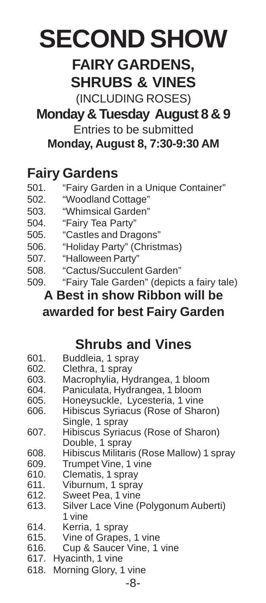## **SECOND SHOW**

## **FAIRY GARDENS, SHRUBS & VINES**

(INCLUDING ROSES)

## **Monday & Tuesday August 8 & 9**

Entries to be submitted **Monday, August 8, 7:30-9:30 AM**

## **Fairy Gardens**

- 501. "Fairy Garden in a Unique Container"
- 502. "Woodland Cottage"
- 503. "Whimsical Garden"
- 504. "Fairy Tea Party"
- 505. "Castles and Dragons"
- 506. "Holiday Party" (Christmas)
- 507. "Halloween Party"
- 508. "Cactus/Succulent Garden"
- 509. "Fairy Tale Garden" (depicts a fairy tale)

### **A Best in show Ribbon will be awarded for best Fairy Garden**

## **Shrubs and Vines**

- 601. Buddleia, 1 spray
- 602. Clethra, 1 spray<br>603. Macrophylia, Hv
- Macrophylia, Hydrangea, 1 bloom
- 604. Paniculata, Hydrangea, 1 bloom
- 605. Honeysuckle, Lycesteria, 1 vine
- 606. Hibiscus Syriacus (Rose of Sharon) Single, 1 spray
- 607. Hibiscus Syriacus (Rose of Sharon) Double, 1 spray
- 608. Hibiscus Militaris (Rose Mallow) 1 spray
- 609. Trumpet Vine, 1 vine<br>610. Clematis, 1 sprav
- Clematis, 1 spray
- 611. Viburnum, 1 spray
- 612. Sweet Pea, 1 vine
- 613. Silver Lace Vine (Polygonum Auberti) 1 vine
- 614. Kerria, 1 spray
- 615. Vine of Grapes, 1 vine
- 616. Cup & Saucer Vine, 1 vine
- 617. Hyacinth, 1 vine
- 618. Morning Glory, 1 vine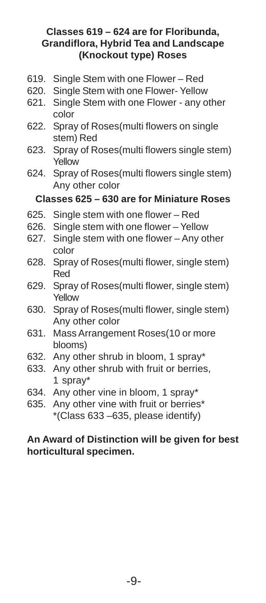#### **Classes 619 – 624 are for Floribunda, Grandiflora, Hybrid Tea and Landscape (Knockout type) Roses**

- 619. Single Stem with one Flower Red
- 620. Single Stem with one Flower- Yellow
- 621. Single Stem with one Flower any other color
- 622. Spray of Roses(multi flowers on single stem) Red
- 623. Spray of Roses(multi flowers single stem) Yellow
- 624. Spray of Roses(multi flowers single stem) Any other color

#### **Classes 625 – 630 are for Miniature Roses**

- 625. Single stem with one flower Red
- 626. Single stem with one flower Yellow
- 627. Single stem with one flower Any other color
- 628. Spray of Roses(multi flower, single stem) Red
- 629. Spray of Roses(multi flower, single stem) Yellow
- 630. Spray of Roses(multi flower, single stem) Any other color
- 631. Mass Arrangement Roses(10 or more blooms)
- 632. Any other shrub in bloom, 1 spray\*
- 633. Any other shrub with fruit or berries, 1 spray\*
- 634. Any other vine in bloom, 1 spray\*
- 635. Any other vine with fruit or berries\* \*(Class 633 –635, please identify)

#### **An Award of Distinction will be given for best horticultural specimen.**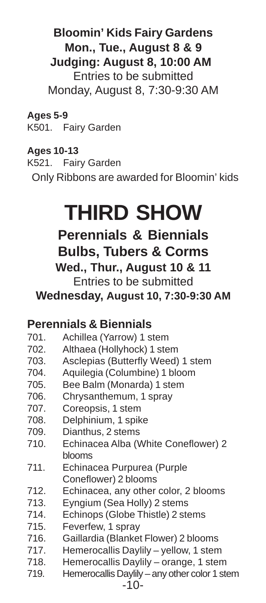### **Bloomin' Kids Fairy Gardens Mon., Tue., August 8 & 9 Judging: August 8, 10:00 AM** Entries to be submitted Monday, August 8, 7:30-9:30 AM

**Ages 5-9** K501. Fairy Garden

#### **Ages 10-13**

K521. Fairy Garden Only Ribbons are awarded for Bloomin' kids

## **THIRD SHOW**

**Perennials & Biennials Bulbs, Tubers & Corms Wed., Thur., August 10 & 11** Entries to be submitted

**Wednesday, August 10, 7:30-9:30 AM**

### **Perennials & Biennials**

- 701. Achillea (Yarrow) 1 stem
- 702. Althaea (Hollyhock) 1 stem
- 703. Asclepias (Butterfly Weed) 1 stem
- 704. Aquilegia (Columbine) 1 bloom
- 705. Bee Balm (Monarda) 1 stem
- 706. Chrysanthemum, 1 spray
- 707. Coreopsis, 1 stem
- 708. Delphinium, 1 spike
- 709. Dianthus, 2 stems
- 710. Echinacea Alba (White Coneflower) 2 blooms
- 711. Echinacea Purpurea (Purple Coneflower) 2 blooms
- 712. Echinacea, any other color, 2 blooms
- 713. Eyngium (Sea Holly) 2 stems
- 714. Echinops (Globe Thistle) 2 stems
- 715. Feverfew, 1 spray
- 716. Gaillardia (Blanket Flower) 2 blooms
- 717. Hemerocallis Daylily yellow, 1 stem
- 718. Hemerocallis Daylily orange, 1 stem
- 719. Hemerocallis Daylily any other color 1 stem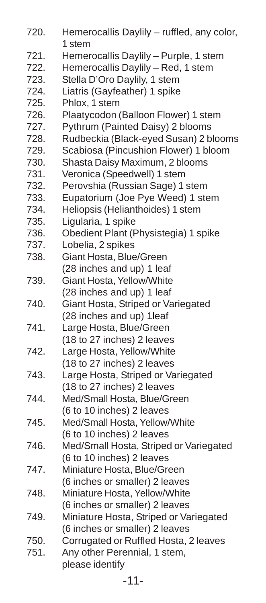720. Hemerocallis Daylily – ruffled, any color, 1 stem 721. Hemerocallis Daylily – Purple, 1 stem 722. Hemerocallis Daylily – Red, 1 stem 723. Stella D'Oro Daylily, 1 stem 724. Liatris (Gayfeather) 1 spike 725. Phlox, 1 stem 726. Plaatycodon (Balloon Flower) 1 stem 727. Pythrum (Painted Daisy) 2 blooms 728. Rudbeckia (Black-eyed Susan) 2 blooms 729. Scabiosa (Pincushion Flower) 1 bloom 730. Shasta Daisy Maximum, 2 blooms 731. Veronica (Speedwell) 1 stem 732. Perovshia (Russian Sage) 1 stem 733. Eupatorium (Joe Pye Weed) 1 stem 734. Heliopsis (Helianthoides) 1 stem 735. Ligularia, 1 spike 736. Obedient Plant (Physistegia) 1 spike 737. Lobelia, 2 spikes 738. Giant Hosta, Blue/Green (28 inches and up) 1 leaf 739. Giant Hosta, Yellow/White (28 inches and up) 1 leaf 740. Giant Hosta, Striped or Variegated (28 inches and up) 1leaf 741. Large Hosta, Blue/Green (18 to 27 inches) 2 leaves 742. Large Hosta, Yellow/White (18 to 27 inches) 2 leaves 743. Large Hosta, Striped or Variegated (18 to 27 inches) 2 leaves 744. Med/Small Hosta, Blue/Green (6 to 10 inches) 2 leaves 745. Med/Small Hosta, Yellow/White (6 to 10 inches) 2 leaves 746. Med/Small Hosta, Striped or Variegated (6 to 10 inches) 2 leaves 747. Miniature Hosta, Blue/Green (6 inches or smaller) 2 leaves 748. Miniature Hosta, Yellow/White (6 inches or smaller) 2 leaves 749. Miniature Hosta, Striped or Variegated (6 inches or smaller) 2 leaves 750. Corrugated or Ruffled Hosta, 2 leaves 751. Any other Perennial, 1 stem, please identify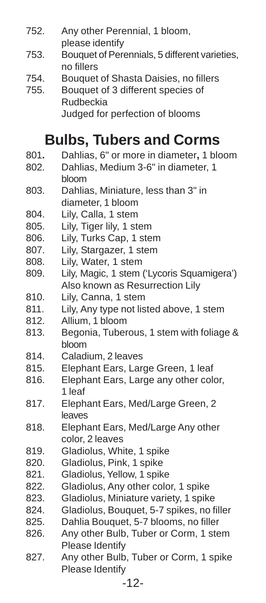- 752. Any other Perennial, 1 bloom, please identify
- 753. Bouquet of Perennials, 5 different varieties, no fillers
- 754. Bouquet of Shasta Daisies, no fillers
- 755. Bouquet of 3 different species of Rudbeckia Judged for perfection of blooms

## **Bulbs, Tubers and Corms**

- 801**.** Dahlias, 6" or more in diameter**,** 1 bloom
- 802. Dahlias, Medium 3-6" in diameter, 1 bloom
- 803. Dahlias, Miniature, less than 3" in diameter, 1 bloom
- 804. Lily, Calla, 1 stem
- 805. Lily, Tiger lily, 1 stem
- 806. Lily, Turks Cap, 1 stem
- 807. Lily, Stargazer, 1 stem
- 808. Lily, Water, 1 stem
- 809. Lily, Magic, 1 stem ('Lycoris Squamigera') Also known as Resurrection Lily
- 810. Lily, Canna, 1 stem
- 811. Lily, Any type not listed above, 1 stem
- 812. Allium, 1 bloom
- 813. Begonia, Tuberous, 1 stem with foliage & bloom
- 814. Caladium, 2 leaves
- 815. Elephant Ears, Large Green, 1 leaf
- 816. Elephant Ears, Large any other color, 1 leaf
- 817. Elephant Ears, Med/Large Green, 2 leaves
- 818. Elephant Ears, Med/Large Any other color, 2 leaves
- 819. Gladiolus, White, 1 spike
- 820. Gladiolus, Pink, 1 spike
- 821. Gladiolus, Yellow, 1 spike
- 822. Gladiolus, Any other color, 1 spike
- 823. Gladiolus, Miniature variety, 1 spike
- 824. Gladiolus, Bouquet, 5-7 spikes, no filler
- 825. Dahlia Bouquet, 5-7 blooms, no filler
- 826. Any other Bulb, Tuber or Corm, 1 stem Please Identify
- 827. Any other Bulb, Tuber or Corm, 1 spike Please Identify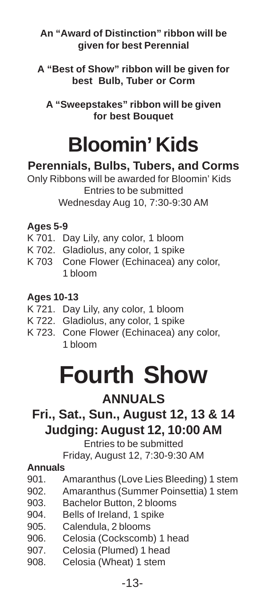#### **An "Award of Distinction" ribbon will be given for best Perennial**

**A "Best of Show" ribbon will be given for best Bulb, Tuber or Corm**

**A "Sweepstakes" ribbon will be given for best Bouquet**

## **Bloomin' Kids**

### **Perennials, Bulbs, Tubers, and Corms**

Only Ribbons will be awarded for Bloomin' Kids Entries to be submitted Wednesday Aug 10, 7:30-9:30 AM

#### **Ages 5-9**

- K 701. Day Lily, any color, 1 bloom
- K 702. Gladiolus, any color, 1 spike
- K 703 Cone Flower (Echinacea) any color, 1 bloom

#### **Ages 10-13**

- K 721. Day Lily, any color, 1 bloom
- K 722. Gladiolus, any color, 1 spike
- K 723. Cone Flower (Echinacea) any color, 1 bloom

## **Fourth Show**

## **ANNUALS**

## **Fri., Sat., Sun., August 12, 13 & 14 Judging: August 12, 10:00 AM**

Entries to be submitted

Friday, August 12, 7:30-9:30 AM

#### **Annuals**

- 901. Amaranthus (Love Lies Bleeding) 1 stem
- 902. Amaranthus (Summer Poinsettia) 1 stem
- 903. Bachelor Button, 2 blooms
- 904. Bells of Ireland, 1 spike
- 905. Calendula, 2 blooms
- 906. Celosia (Cockscomb) 1 head<br>907. Celosia (Plumed) 1 head
- Celosia (Plumed) 1 head
- 908. Celosia (Wheat) 1 stem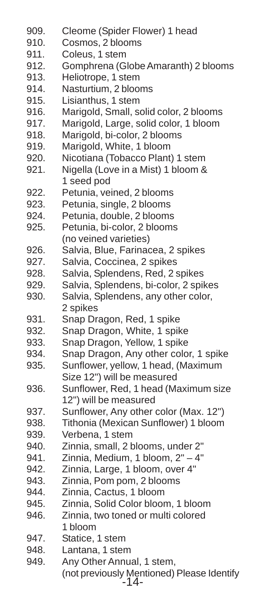- 909. Cleome (Spider Flower) 1 head
- 910. Cosmos, 2 blooms
- 911. Coleus, 1 stem
- 912. Gomphrena (Globe Amaranth) 2 blooms
- 913. Heliotrope, 1 stem
- 914. Nasturtium, 2 blooms
- 915. Lisianthus, 1 stem
- 916. Marigold, Small, solid color, 2 blooms
- 917. Marigold, Large, solid color, 1 bloom
- 918. Marigold, bi-color, 2 blooms
- 919. Marigold, White, 1 bloom
- 920. Nicotiana (Tobacco Plant) 1 stem
- 921. Nigella (Love in a Mist) 1 bloom & 1 seed pod
- 922. Petunia, veined, 2 blooms
- 923. Petunia, single, 2 blooms
- 924. Petunia, double, 2 blooms
- 925. Petunia, bi-color, 2 blooms (no veined varieties)
- 926. Salvia, Blue, Farinacea, 2 spikes
- 927. Salvia, Coccinea, 2 spikes
- 928. Salvia, Splendens, Red, 2 spikes
- 929. Salvia, Splendens, bi-color, 2 spikes
- 930. Salvia, Splendens, any other color, 2 spikes
- 931. Snap Dragon, Red, 1 spike
- 932. Snap Dragon, White, 1 spike
- 933. Snap Dragon, Yellow, 1 spike
- 934. Snap Dragon, Any other color, 1 spike
- 935. Sunflower, yellow, 1 head, (Maximum Size 12") will be measured
- 936. Sunflower, Red, 1 head (Maximum size 12") will be measured
- 937. Sunflower, Any other color (Max. 12")
- 938. Tithonia (Mexican Sunflower) 1 bloom
- 939. Verbena, 1 stem
- 940. Zinnia, small, 2 blooms, under 2"
- 941. Zinnia, Medium, 1 bloom, 2" 4"
- 942. Zinnia, Large, 1 bloom, over 4"
- 943. Zinnia, Pom pom, 2 blooms
- 944. Zinnia, Cactus, 1 bloom
- 945. Zinnia, Solid Color bloom, 1 bloom
- 946. Zinnia, two toned or multi colored 1 bloom
- 947. Statice, 1 stem
- 948. Lantana, 1 stem
- -14- 949. Any Other Annual, 1 stem, (not previously Mentioned) Please Identify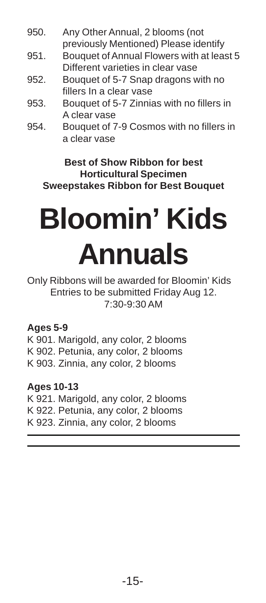- 950. Any Other Annual, 2 blooms (not previously Mentioned) Please identify
- 951. Bouquet of Annual Flowers with at least 5 Different varieties in clear vase
- 952. Bouquet of 5-7 Snap dragons with no fillers In a clear vase
- 953. Bouquet of 5-7 Zinnias with no fillers in A clear vase
- 954. Bouquet of 7-9 Cosmos with no fillers in a clear vase

#### **Best of Show Ribbon for best Horticultural Specimen Sweepstakes Ribbon for Best Bouquet**

# **Bloomin' Kids Annuals**

Only Ribbons will be awarded for Bloomin' Kids Entries to be submitted Friday Aug 12. 7:30-9:30 AM

#### **Ages 5-9**

K 901. Marigold, any color, 2 blooms K 902. Petunia, any color, 2 blooms K 903. Zinnia, any color, 2 blooms

#### **Ages 10-13**

K 921. Marigold, any color, 2 blooms K 922. Petunia, any color, 2 blooms K 923. Zinnia, any color, 2 blooms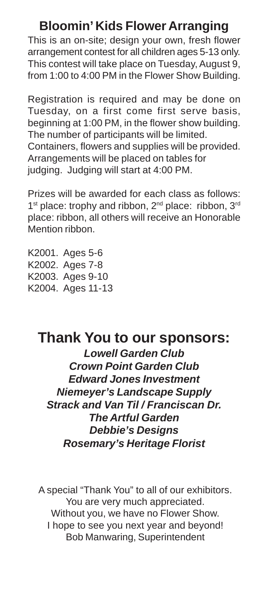## **Bloomin' Kids Flower Arranging**

This is an on-site; design your own, fresh flower arrangement contest for all children ages 5-13 only. This contest will take place on Tuesday, August 9, from 1:00 to 4:00 PM in the Flower Show Building.

Registration is required and may be done on Tuesday, on a first come first serve basis, beginning at 1:00 PM, in the flower show building. The number of participants will be limited. Containers, flowers and supplies will be provided. Arrangements will be placed on tables for judging. Judging will start at 4:00 PM.

Prizes will be awarded for each class as follows: 1<sup>st</sup> place: trophy and ribbon, 2<sup>nd</sup> place: ribbon, 3<sup>rd</sup> place: ribbon, all others will receive an Honorable Mention ribbon.

K2001. Ages 5-6 K2002. Ages 7-8 K2003. Ages 9-10 K2004. Ages 11-13

## **Thank You to our sponsors:**

**Lowell Garden Club Crown Point Garden Club Edward Jones Investment Niemeyer's Landscape Supply Strack and Van Til / Franciscan Dr. The Artful Garden Debbie's Designs Rosemary's Heritage Florist**

A special "Thank You" to all of our exhibitors. You are very much appreciated. Without you, we have no Flower Show. I hope to see you next year and beyond! Bob Manwaring, Superintendent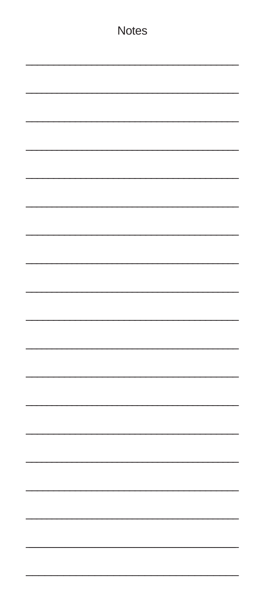| <b>Notes</b> |
|--------------|
|              |
|              |
|              |
|              |
|              |
|              |
|              |
|              |
|              |
|              |
|              |
|              |
|              |
|              |
|              |
|              |
|              |
|              |
|              |
|              |
|              |
|              |
|              |
|              |
|              |
|              |
|              |
|              |
|              |
|              |
|              |
|              |
|              |
|              |
|              |
|              |